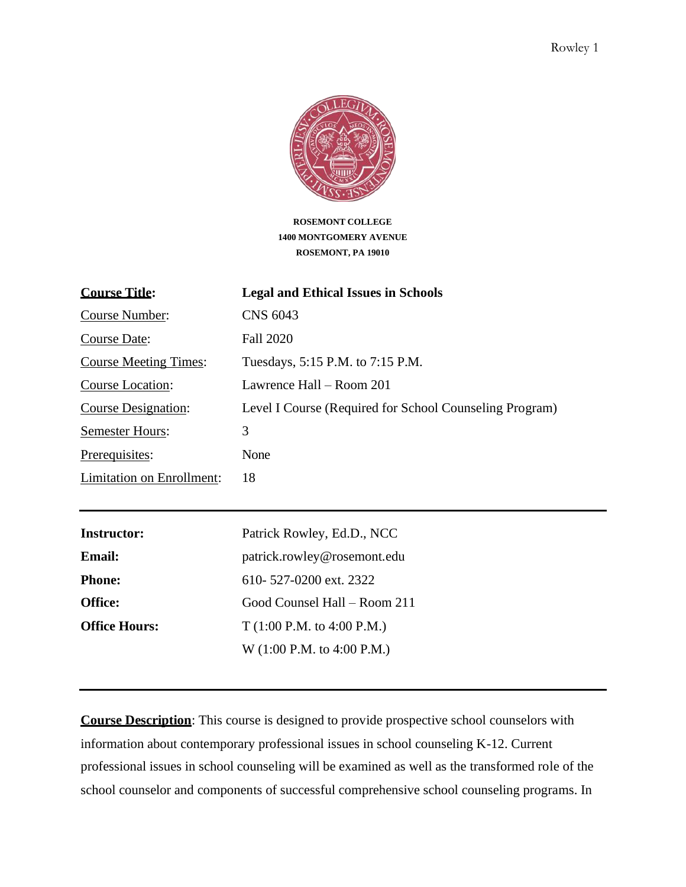

**ROSEMONT COLLEGE 1400 MONTGOMERY AVENUE ROSEMONT, PA 19010**

| <b>Course Title:</b>         | <b>Legal and Ethical Issues in Schools</b>              |
|------------------------------|---------------------------------------------------------|
| Course Number:               | <b>CNS 6043</b>                                         |
| Course Date:                 | Fall 2020                                               |
| <b>Course Meeting Times:</b> | Tuesdays, 5:15 P.M. to 7:15 P.M.                        |
| Course Location:             | Lawrence Hall – Room 201                                |
| <b>Course Designation:</b>   | Level I Course (Required for School Counseling Program) |
| <b>Semester Hours:</b>       | 3                                                       |
| Prerequisites:               | None                                                    |
| Limitation on Enrollment:    | 18                                                      |

| <b>Instructor:</b>   | Patrick Rowley, Ed.D., NCC   |
|----------------------|------------------------------|
| <b>Email:</b>        | patrick.rowley@rosemont.edu  |
| <b>Phone:</b>        | 610-527-0200 ext. 2322       |
| <b>Office:</b>       | Good Counsel Hall – Room 211 |
| <b>Office Hours:</b> | T(1:00 P.M. to 4:00 P.M.)    |
|                      | W (1:00 P.M. to 4:00 P.M.)   |

**Course Description**: This course is designed to provide prospective school counselors with information about contemporary professional issues in school counseling K-12. Current professional issues in school counseling will be examined as well as the transformed role of the school counselor and components of successful comprehensive school counseling programs. In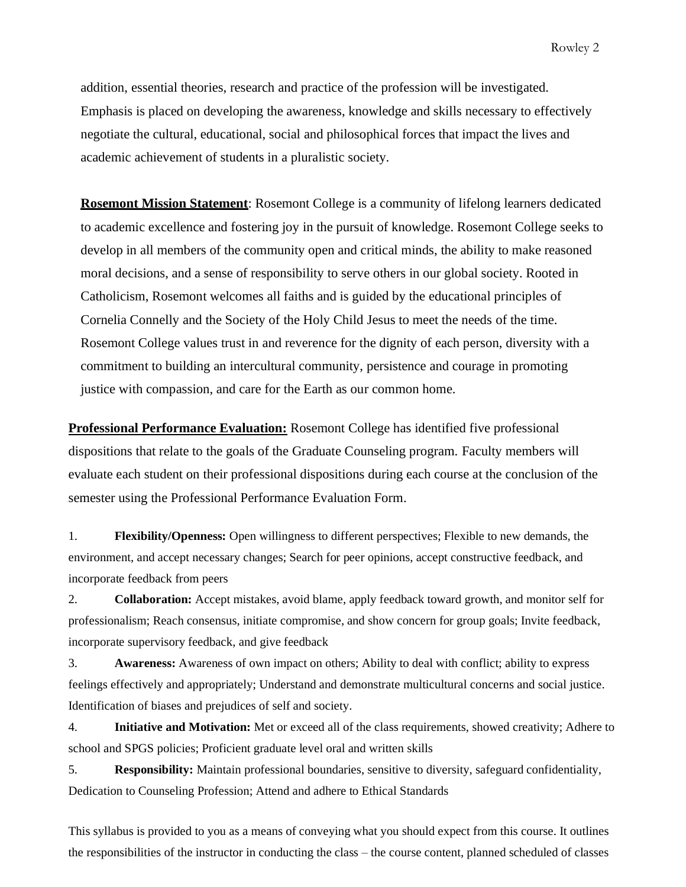addition, essential theories, research and practice of the profession will be investigated. Emphasis is placed on developing the awareness, knowledge and skills necessary to effectively negotiate the cultural, educational, social and philosophical forces that impact the lives and academic achievement of students in a pluralistic society.

**Rosemont Mission Statement**: Rosemont College is a community of lifelong learners dedicated to academic excellence and fostering joy in the pursuit of knowledge. Rosemont College seeks to develop in all members of the community open and critical minds, the ability to make reasoned moral decisions, and a sense of responsibility to serve others in our global society. Rooted in Catholicism, Rosemont welcomes all faiths and is guided by the educational principles of Cornelia Connelly and the Society of the Holy Child Jesus to meet the needs of the time. Rosemont College values trust in and reverence for the dignity of each person, diversity with a commitment to building an intercultural community, persistence and courage in promoting justice with compassion, and care for the Earth as our common home.

**Professional Performance Evaluation:** Rosemont College has identified five professional dispositions that relate to the goals of the Graduate Counseling program. Faculty members will evaluate each student on their professional dispositions during each course at the conclusion of the semester using the Professional Performance Evaluation Form.

1. **Flexibility/Openness:** Open willingness to different perspectives; Flexible to new demands, the environment, and accept necessary changes; Search for peer opinions, accept constructive feedback, and incorporate feedback from peers

2. **Collaboration:** Accept mistakes, avoid blame, apply feedback toward growth, and monitor self for professionalism; Reach consensus, initiate compromise, and show concern for group goals; Invite feedback, incorporate supervisory feedback, and give feedback

3. **Awareness:** Awareness of own impact on others; Ability to deal with conflict; ability to express feelings effectively and appropriately; Understand and demonstrate multicultural concerns and social justice. Identification of biases and prejudices of self and society.

4. **Initiative and Motivation:** Met or exceed all of the class requirements, showed creativity; Adhere to school and SPGS policies; Proficient graduate level oral and written skills

5. **Responsibility:** Maintain professional boundaries, sensitive to diversity, safeguard confidentiality, Dedication to Counseling Profession; Attend and adhere to Ethical Standards

This syllabus is provided to you as a means of conveying what you should expect from this course. It outlines the responsibilities of the instructor in conducting the class – the course content, planned scheduled of classes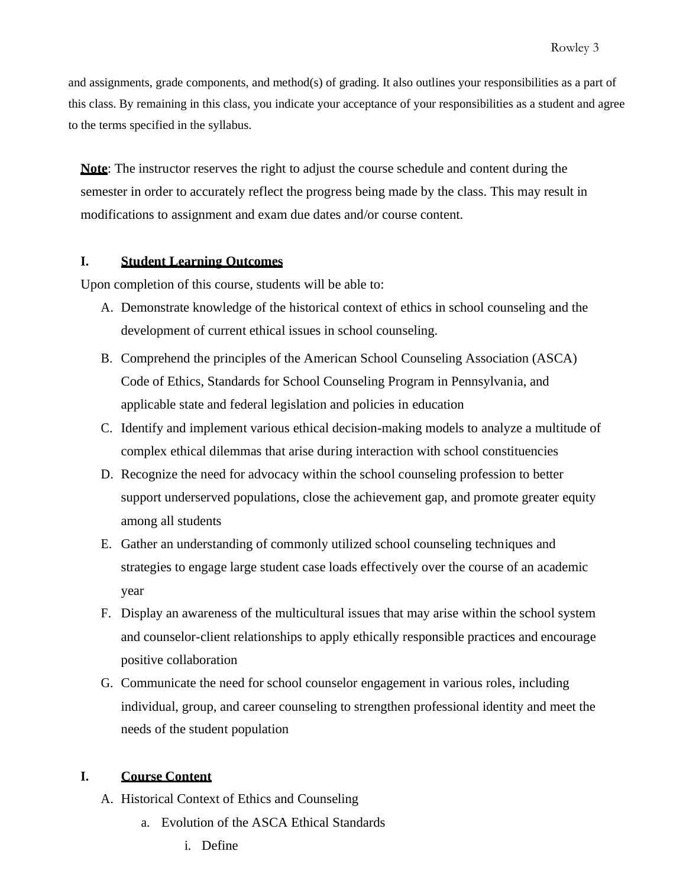and assignments, grade components, and method(s) of grading. It also outlines your responsibilities as a part of this class. By remaining in this class, you indicate your acceptance of your responsibilities as a student and agree to the terms specified in the syllabus.

**Note**: The instructor reserves the right to adjust the course schedule and content during the semester in order to accurately reflect the progress being made by the class. This may result in modifications to assignment and exam due dates and/or course content.

#### **I. Student Learning Outcomes**

Upon completion of this course, students will be able to:

- A. Demonstrate knowledge of the historical context of ethics in school counseling and the development of current ethical issues in school counseling.
- B. Comprehend the principles of the American School Counseling Association (ASCA) Code of Ethics, Standards for School Counseling Program in Pennsylvania, and applicable state and federal legislation and policies in education
- C. Identify and implement various ethical decision-making models to analyze a multitude of complex ethical dilemmas that arise during interaction with school constituencies
- D. Recognize the need for advocacy within the school counseling profession to better support underserved populations, close the achievement gap, and promote greater equity among all students
- E. Gather an understanding of commonly utilized school counseling techniques and strategies to engage large student case loads effectively over the course of an academic year
- F. Display an awareness of the multicultural issues that may arise within the school system and counselor-client relationships to apply ethically responsible practices and encourage positive collaboration
- G. Communicate the need for school counselor engagement in various roles, including individual, group, and career counseling to strengthen professional identity and meet the needs of the student population

## **I. Course Content**

- A. Historical Context of Ethics and Counseling
	- a. Evolution of the ASCA Ethical Standards
		- i. Define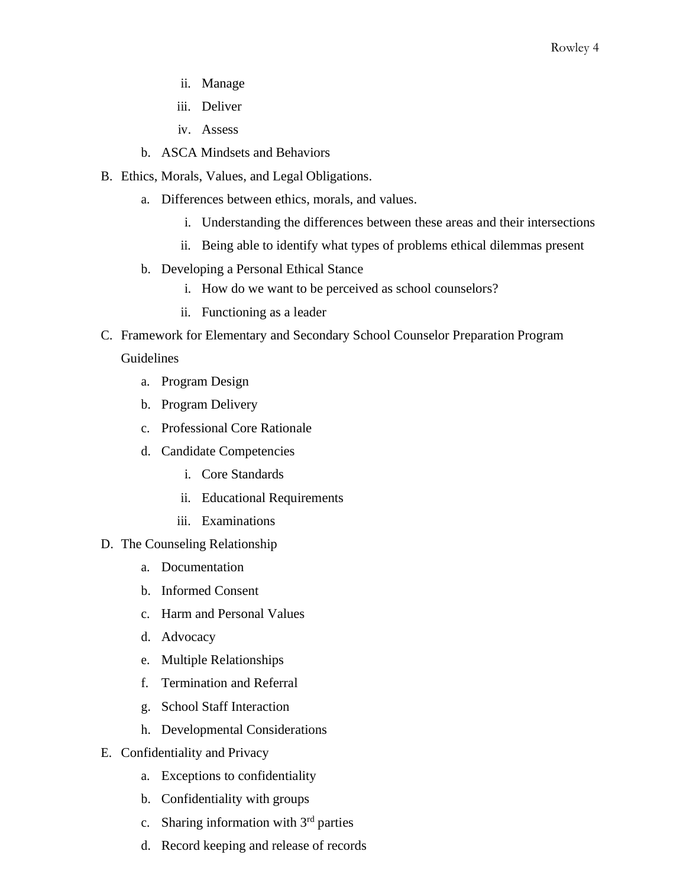- ii. Manage
- iii. Deliver
- iv. Assess
- b. ASCA Mindsets and Behaviors
- B. Ethics, Morals, Values, and Legal Obligations.
	- a. Differences between ethics, morals, and values.
		- i. Understanding the differences between these areas and their intersections
		- ii. Being able to identify what types of problems ethical dilemmas present
	- b. Developing a Personal Ethical Stance
		- i. How do we want to be perceived as school counselors?
		- ii. Functioning as a leader
- C. Framework for Elementary and Secondary School Counselor Preparation Program

#### Guidelines

- a. Program Design
- b. Program Delivery
- c. Professional Core Rationale
- d. Candidate Competencies
	- i. Core Standards
	- ii. Educational Requirements
	- iii. Examinations
- D. The Counseling Relationship
	- a. Documentation
	- b. Informed Consent
	- c. Harm and Personal Values
	- d. Advocacy
	- e. Multiple Relationships
	- f. Termination and Referral
	- g. School Staff Interaction
	- h. Developmental Considerations
- E. Confidentiality and Privacy
	- a. Exceptions to confidentiality
	- b. Confidentiality with groups
	- c. Sharing information with  $3<sup>rd</sup>$  parties
	- d. Record keeping and release of records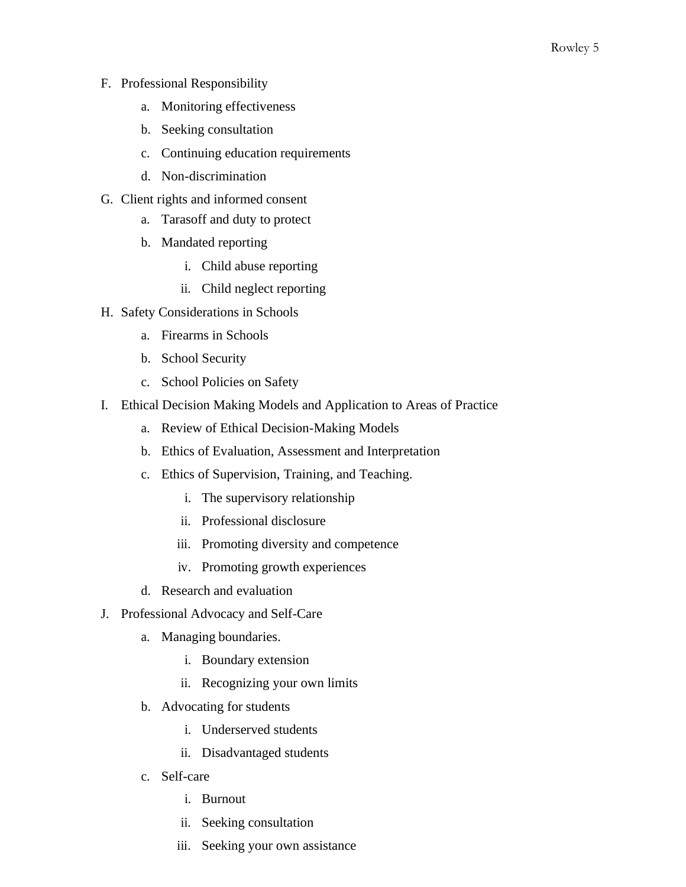- F. Professional Responsibility
	- a. Monitoring effectiveness
	- b. Seeking consultation
	- c. Continuing education requirements
	- d. Non-discrimination
- G. Client rights and informed consent
	- a. Tarasoff and duty to protect
	- b. Mandated reporting
		- i. Child abuse reporting
		- ii. Child neglect reporting
- H. Safety Considerations in Schools
	- a. Firearms in Schools
	- b. School Security
	- c. School Policies on Safety
- I. Ethical Decision Making Models and Application to Areas of Practice
	- a. Review of Ethical Decision-Making Models
	- b. Ethics of Evaluation, Assessment and Interpretation
	- c. Ethics of Supervision, Training, and Teaching.
		- i. The supervisory relationship
		- ii. Professional disclosure
		- iii. Promoting diversity and competence
		- iv. Promoting growth experiences
	- d. Research and evaluation
- J. Professional Advocacy and Self-Care
	- a. Managing boundaries.
		- i. Boundary extension
		- ii. Recognizing your own limits
	- b. Advocating for students
		- i. Underserved students
		- ii. Disadvantaged students
	- c. Self-care
		- i. Burnout
		- ii. Seeking consultation
		- iii. Seeking your own assistance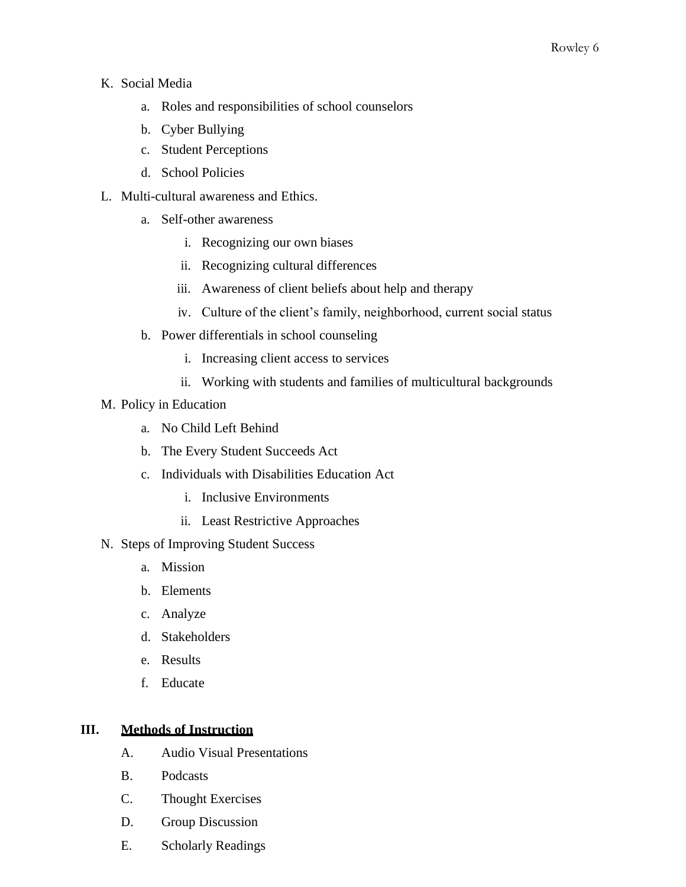- K. Social Media
	- a. Roles and responsibilities of school counselors
	- b. Cyber Bullying
	- c. Student Perceptions
	- d. School Policies
- L. Multi-cultural awareness and Ethics.
	- a. Self-other awareness
		- i. Recognizing our own biases
		- ii. Recognizing cultural differences
		- iii. Awareness of client beliefs about help and therapy
		- iv. Culture of the client's family, neighborhood, current social status
	- b. Power differentials in school counseling
		- i. Increasing client access to services
		- ii. Working with students and families of multicultural backgrounds
- M. Policy in Education
	- a. No Child Left Behind
	- b. The Every Student Succeeds Act
	- c. Individuals with Disabilities Education Act
		- i. Inclusive Environments
		- ii. Least Restrictive Approaches
- N. Steps of Improving Student Success
	- a. Mission
	- b. Elements
	- c. Analyze
	- d. Stakeholders
	- e. Results
	- f. Educate

# **III. Methods of Instruction**

- A. Audio Visual Presentations
- B. Podcasts
- C. Thought Exercises
- D. Group Discussion
- E. Scholarly Readings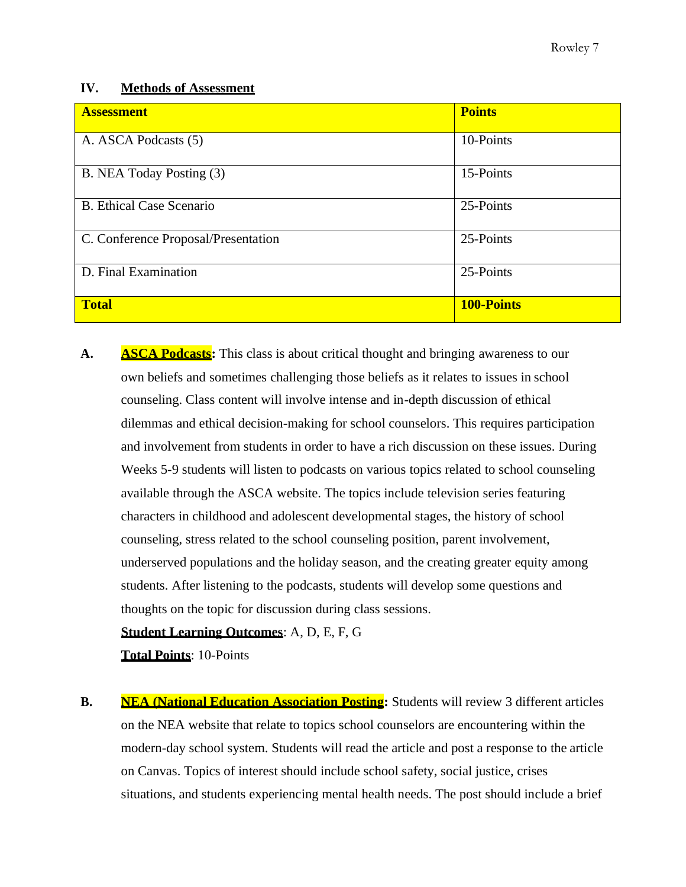## **IV. Methods of Assessment**

| <b>Assessment</b>                   | <b>Points</b>     |
|-------------------------------------|-------------------|
| A. ASCA Podcasts (5)                | 10-Points         |
| B. NEA Today Posting (3)            | 15-Points         |
| <b>B.</b> Ethical Case Scenario     | 25-Points         |
| C. Conference Proposal/Presentation | 25-Points         |
| D. Final Examination                | 25-Points         |
| <b>Total</b>                        | <b>100-Points</b> |

**A. ASCA Podcasts:** This class is about critical thought and bringing awareness to our own beliefs and sometimes challenging those beliefs as it relates to issues in school counseling. Class content will involve intense and in-depth discussion of ethical dilemmas and ethical decision-making for school counselors. This requires participation and involvement from students in order to have a rich discussion on these issues. During Weeks 5-9 students will listen to podcasts on various topics related to school counseling available through the ASCA website. The topics include television series featuring characters in childhood and adolescent developmental stages, the history of school counseling, stress related to the school counseling position, parent involvement, underserved populations and the holiday season, and the creating greater equity among students. After listening to the podcasts, students will develop some questions and thoughts on the topic for discussion during class sessions.

# **Student Learning Outcomes**: A, D, E, F, G

**Total Points**: 10-Points

**B. NEA (National Education Association Posting:** Students will review 3 different articles on the NEA website that relate to topics school counselors are encountering within the modern-day school system. Students will read the article and post a response to the article on Canvas. Topics of interest should include school safety, social justice, crises situations, and students experiencing mental health needs. The post should include a brief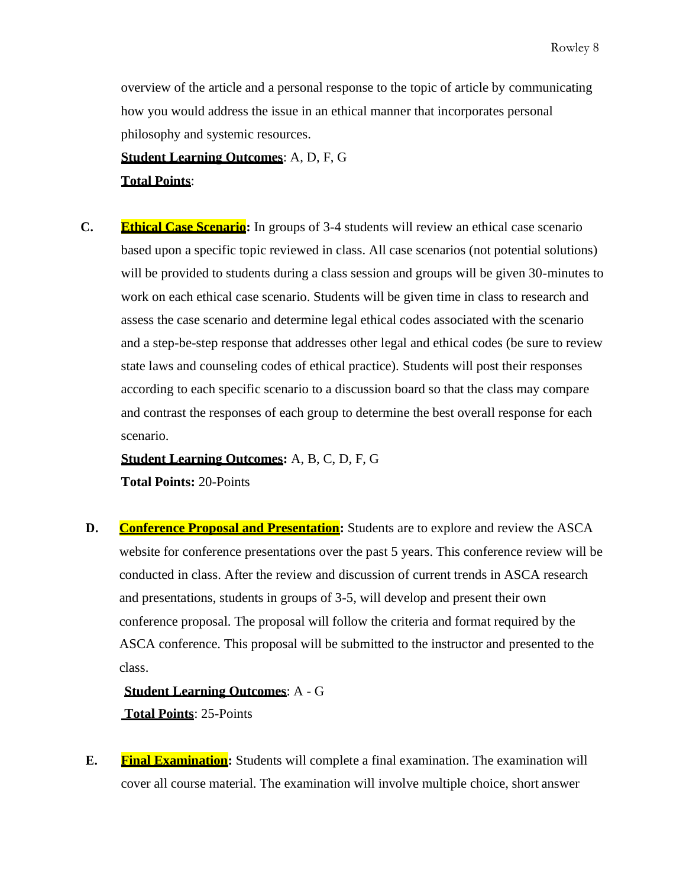overview of the article and a personal response to the topic of article by communicating how you would address the issue in an ethical manner that incorporates personal philosophy and systemic resources.

**Student Learning Outcomes**: A, D, F, G

**Total Points**:

**C. Ethical Case Scenario:** In groups of 3-4 students will review an ethical case scenario based upon a specific topic reviewed in class. All case scenarios (not potential solutions) will be provided to students during a class session and groups will be given 30-minutes to work on each ethical case scenario. Students will be given time in class to research and assess the case scenario and determine legal ethical codes associated with the scenario and a step-be-step response that addresses other legal and ethical codes (be sure to review state laws and counseling codes of ethical practice). Students will post their responses according to each specific scenario to a discussion board so that the class may compare and contrast the responses of each group to determine the best overall response for each scenario.

**Student Learning Outcomes:** A, B, C, D, F, G

**Total Points:** 20-Points

**D. Conference Proposal and Presentation:** Students are to explore and review the ASCA website for conference presentations over the past 5 years. This conference review will be conducted in class. After the review and discussion of current trends in ASCA research and presentations, students in groups of 3-5, will develop and present their own conference proposal. The proposal will follow the criteria and format required by the ASCA conference. This proposal will be submitted to the instructor and presented to the class.

**Student Learning Outcomes**: A - G **Total Points**: 25-Points

**E. Final Examination:** Students will complete a final examination. The examination will cover all course material. The examination will involve multiple choice, short answer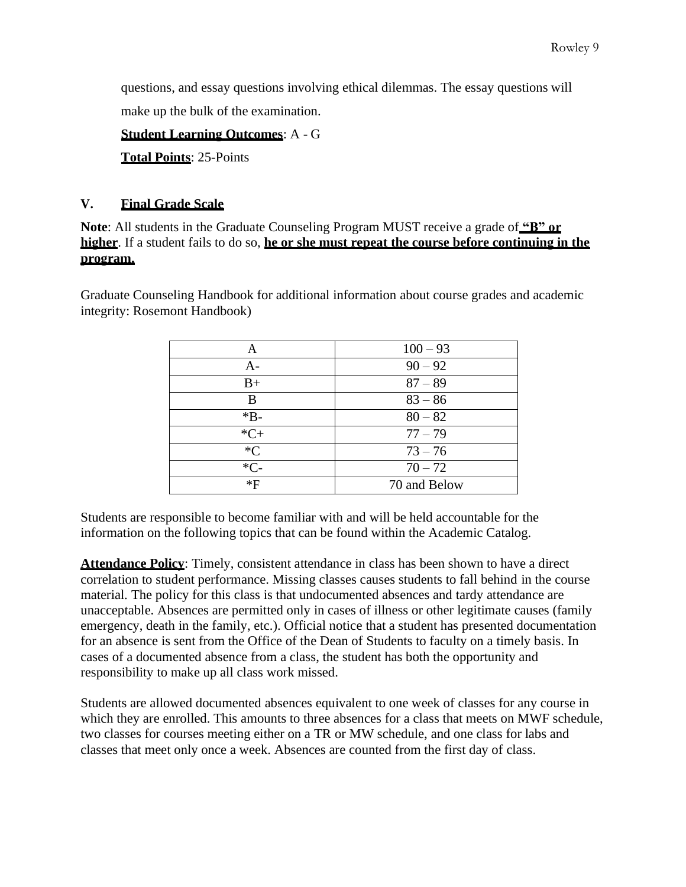questions, and essay questions involving ethical dilemmas. The essay questions will make up the bulk of the examination.

**Student Learning Outcomes**: A - G

**Total Points**: 25-Points

# **V. Final Grade Scale**

**Note**: All students in the Graduate Counseling Program MUST receive a grade of **"B" or higher**. If a student fails to do so, **he or she must repeat the course before continuing in the program.**

Graduate Counseling Handbook for additional information about course grades and academic integrity: Rosemont Handbook)

| Α     | $100 - 93$   |
|-------|--------------|
| $A -$ | $90 - 92$    |
| $B+$  | $87 - 89$    |
| В     | $83 - 86$    |
| $*B-$ | $80 - 82$    |
| $*C+$ | $77 - 79$    |
| $C^*$ | $73 - 76$    |
| $*C-$ | $70 - 72$    |
| $*F$  | 70 and Below |

Students are responsible to become familiar with and will be held accountable for the information on the following topics that can be found within the Academic Catalog.

**Attendance Policy**: Timely, consistent attendance in class has been shown to have a direct correlation to student performance. Missing classes causes students to fall behind in the course material. The policy for this class is that undocumented absences and tardy attendance are unacceptable. Absences are permitted only in cases of illness or other legitimate causes (family emergency, death in the family, etc.). Official notice that a student has presented documentation for an absence is sent from the Office of the Dean of Students to faculty on a timely basis. In cases of a documented absence from a class, the student has both the opportunity and responsibility to make up all class work missed.

Students are allowed documented absences equivalent to one week of classes for any course in which they are enrolled. This amounts to three absences for a class that meets on MWF schedule, two classes for courses meeting either on a TR or MW schedule, and one class for labs and classes that meet only once a week. Absences are counted from the first day of class.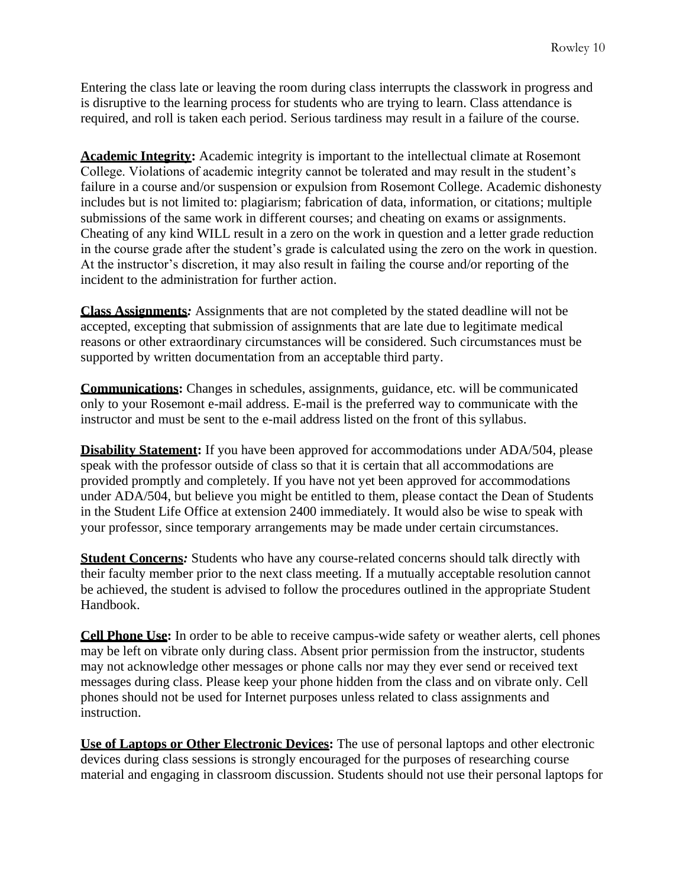Entering the class late or leaving the room during class interrupts the classwork in progress and is disruptive to the learning process for students who are trying to learn. Class attendance is required, and roll is taken each period. Serious tardiness may result in a failure of the course.

**Academic Integrity:** Academic integrity is important to the intellectual climate at Rosemont College. Violations of academic integrity cannot be tolerated and may result in the student's failure in a course and/or suspension or expulsion from Rosemont College. Academic dishonesty includes but is not limited to: plagiarism; fabrication of data, information, or citations; multiple submissions of the same work in different courses; and cheating on exams or assignments. Cheating of any kind WILL result in a zero on the work in question and a letter grade reduction in the course grade after the student's grade is calculated using the zero on the work in question. At the instructor's discretion, it may also result in failing the course and/or reporting of the incident to the administration for further action.

**Class Assignments***:* Assignments that are not completed by the stated deadline will not be accepted, excepting that submission of assignments that are late due to legitimate medical reasons or other extraordinary circumstances will be considered. Such circumstances must be supported by written documentation from an acceptable third party.

**Communications:** Changes in schedules, assignments, guidance, etc. will be communicated only to your Rosemont e-mail address. E-mail is the preferred way to communicate with the instructor and must be sent to the e-mail address listed on the front of this syllabus.

**Disability Statement:** If you have been approved for accommodations under ADA/504, please speak with the professor outside of class so that it is certain that all accommodations are provided promptly and completely. If you have not yet been approved for accommodations under ADA/504, but believe you might be entitled to them, please contact the Dean of Students in the Student Life Office at extension 2400 immediately. It would also be wise to speak with your professor, since temporary arrangements may be made under certain circumstances.

**Student Concerns***:* Students who have any course-related concerns should talk directly with their faculty member prior to the next class meeting. If a mutually acceptable resolution cannot be achieved, the student is advised to follow the procedures outlined in the appropriate Student Handbook.

**Cell Phone Use:** In order to be able to receive campus-wide safety or weather alerts, cell phones may be left on vibrate only during class. Absent prior permission from the instructor, students may not acknowledge other messages or phone calls nor may they ever send or received text messages during class. Please keep your phone hidden from the class and on vibrate only. Cell phones should not be used for Internet purposes unless related to class assignments and instruction.

**Use of Laptops or Other Electronic Devices:** The use of personal laptops and other electronic devices during class sessions is strongly encouraged for the purposes of researching course material and engaging in classroom discussion. Students should not use their personal laptops for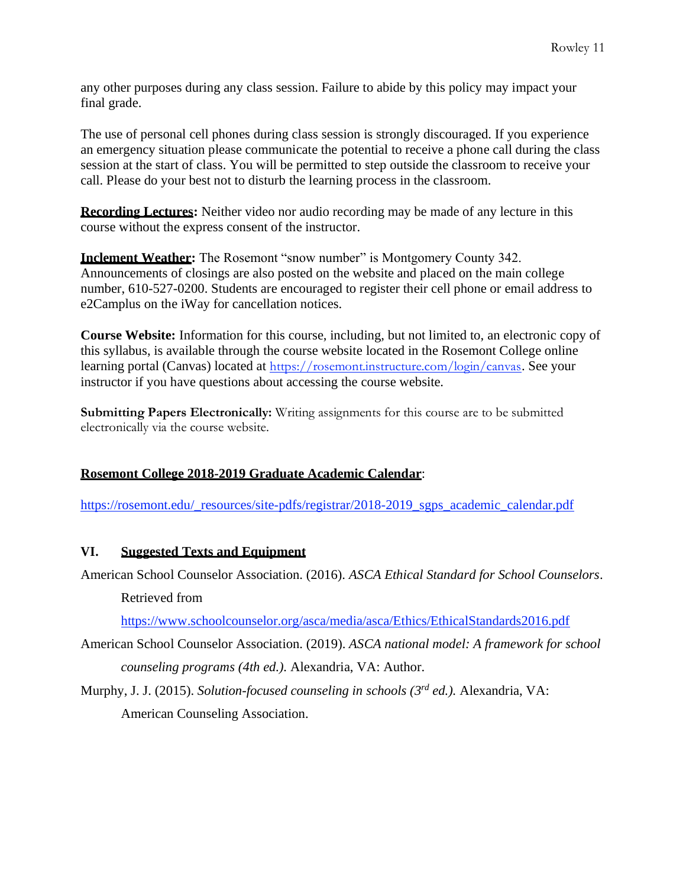any other purposes during any class session. Failure to abide by this policy may impact your final grade.

The use of personal cell phones during class session is strongly discouraged. If you experience an emergency situation please communicate the potential to receive a phone call during the class session at the start of class. You will be permitted to step outside the classroom to receive your call. Please do your best not to disturb the learning process in the classroom.

**Recording Lectures:** Neither video nor audio recording may be made of any lecture in this course without the express consent of the instructor.

**Inclement Weather:** The Rosemont "snow number" is Montgomery County 342. Announcements of closings are also posted on the website and placed on the main college number, 610-527-0200. Students are encouraged to register their cell phone or email address to e2Camplus on the iWay for cancellation notices.

**Course Website:** Information for this course, including, but not limited to, an electronic copy of this syllabus, is available through the course website located in the Rosemont College online learning portal (Canvas) located at <https://rosemont.instructure.com/login/canvas>. See your instructor if you have questions about accessing the course website.

**Submitting Papers Electronically:** Writing assignments for this course are to be submitted electronically via the course website.

# **Rosemont College 2018-2019 Graduate Academic Calendar**:

[https://rosemont.edu/\\_resources/site-pdfs/registrar/2018-2019\\_sgps\\_academic\\_calendar.pdf](https://rosemont.edu/_resources/site-pdfs/registrar/2018-2019_sgps_academic_calendar.pdf)

# **VI. Suggested Texts and Equipment**

American School Counselor Association. (2016). *ASCA Ethical Standard for School Counselors*. Retrieved from

<https://www.schoolcounselor.org/asca/media/asca/Ethics/EthicalStandards2016.pdf>

American School Counselor Association. (2019). *ASCA national model: A framework for school counseling programs (4th ed.).* Alexandria, VA: Author.

Murphy, J. J. (2015). *Solution-focused counseling in schools (3 rd ed.).* Alexandria, VA: American Counseling Association.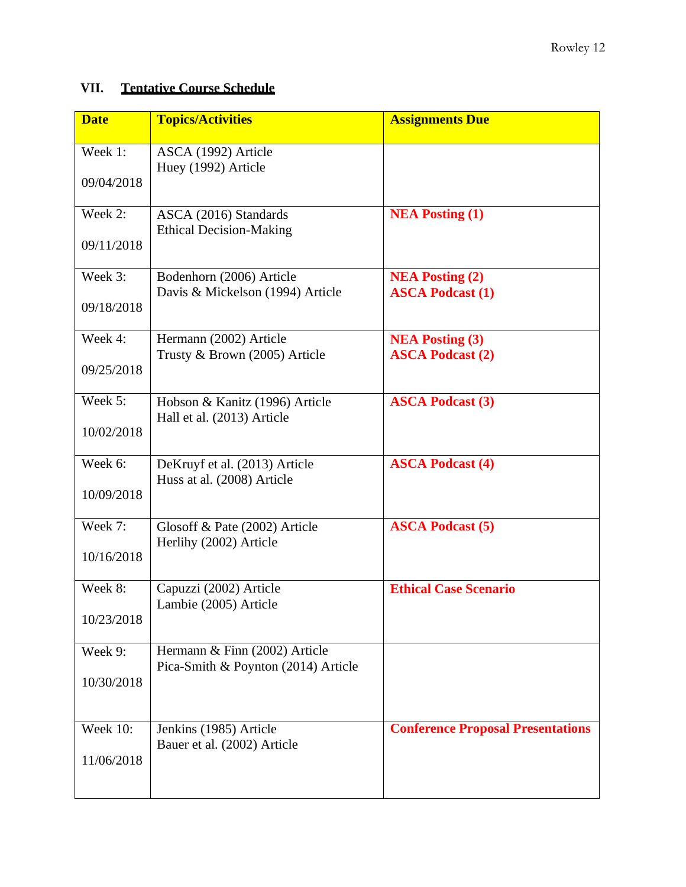# **VII. Tentative Course Schedule**

| <b>Date</b>     | <b>Topics/Activities</b>                                                                                             | <b>Assignments Due</b>                   |
|-----------------|----------------------------------------------------------------------------------------------------------------------|------------------------------------------|
| Week 1:         | ASCA (1992) Article<br>Huey (1992) Article                                                                           |                                          |
| 09/04/2018      |                                                                                                                      |                                          |
| Week 2:         | ASCA (2016) Standards                                                                                                | <b>NEA Posting (1)</b>                   |
| 09/11/2018      | <b>Ethical Decision-Making</b>                                                                                       |                                          |
| Week 3:         | Bodenhorn (2006) Article<br>Davis & Mickelson (1994) Article                                                         | <b>NEA Posting (2)</b>                   |
| 09/18/2018      |                                                                                                                      | <b>ASCA Podcast (1)</b>                  |
| Week 4:         | Hermann (2002) Article                                                                                               | <b>NEA Posting (3)</b>                   |
| 09/25/2018      | Trusty & Brown (2005) Article                                                                                        | <b>ASCA Podcast (2)</b>                  |
| Week 5:         | Hobson & Kanitz (1996) Article                                                                                       | <b>ASCA Podcast (3)</b>                  |
| 10/02/2018      | Hall et al. (2013) Article                                                                                           |                                          |
| Week 6:         | DeKruyf et al. (2013) Article                                                                                        | <b>ASCA Podcast (4)</b>                  |
| 10/09/2018      |                                                                                                                      |                                          |
| Week 7:         | Glosoff & Pate (2002) Article                                                                                        | <b>ASCA Podcast (5)</b>                  |
| 10/16/2018      |                                                                                                                      |                                          |
| Week 8:         | Capuzzi (2002) Article                                                                                               | <b>Ethical Case Scenario</b>             |
| 10/23/2018      |                                                                                                                      |                                          |
| Week 9:         | Hermann & Finn (2002) Article                                                                                        |                                          |
| 10/30/2018      |                                                                                                                      |                                          |
| <b>Week 10:</b> | Jenkins (1985) Article                                                                                               | <b>Conference Proposal Presentations</b> |
| 11/06/2018      | Bauer et al. (2002) Article                                                                                          |                                          |
|                 | Huss at al. (2008) Article<br>Herlihy (2002) Article<br>Lambie (2005) Article<br>Pica-Smith & Poynton (2014) Article |                                          |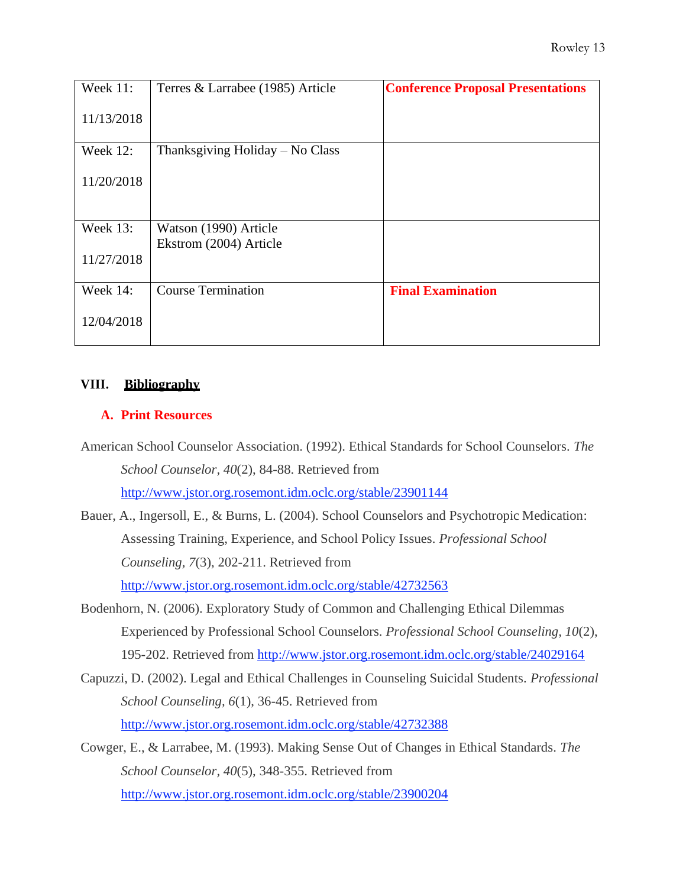| <b>Week 11:</b> | Terres & Larrabee (1985) Article | <b>Conference Proposal Presentations</b> |
|-----------------|----------------------------------|------------------------------------------|
| 11/13/2018      |                                  |                                          |
| Week 12:        | Thanksgiving Holiday – No Class  |                                          |
| 11/20/2018      |                                  |                                          |
| Week 13:        | Watson (1990) Article            |                                          |
|                 | Ekstrom (2004) Article           |                                          |
| 11/27/2018      |                                  |                                          |
| <b>Week 14:</b> | <b>Course Termination</b>        | <b>Final Examination</b>                 |
| 12/04/2018      |                                  |                                          |

## **VIII. Bibliography**

#### **A. Print Resources**

- American School Counselor Association. (1992). Ethical Standards for School Counselors. *The School Counselor, 40*(2), 84-88. Retrieved from <http://www.jstor.org.rosemont.idm.oclc.org/stable/23901144>
- Bauer, A., Ingersoll, E., & Burns, L. (2004). School Counselors and Psychotropic Medication: Assessing Training, Experience, and School Policy Issues. *Professional School Counseling, 7*(3), 202-211. Retrieved from <http://www.jstor.org.rosemont.idm.oclc.org/stable/42732563>
- Bodenhorn, N. (2006). Exploratory Study of Common and Challenging Ethical Dilemmas Experienced by Professional School Counselors. *Professional School Counseling, 10*(2), 195-202. Retrieved from<http://www.jstor.org.rosemont.idm.oclc.org/stable/24029164>
- Capuzzi, D. (2002). Legal and Ethical Challenges in Counseling Suicidal Students. *Professional School Counseling, 6*(1), 36-45. Retrieved from <http://www.jstor.org.rosemont.idm.oclc.org/stable/42732388>
- Cowger, E., & Larrabee, M. (1993). Making Sense Out of Changes in Ethical Standards. *The School Counselor, 40*(5), 348-355. Retrieved from <http://www.jstor.org.rosemont.idm.oclc.org/stable/23900204>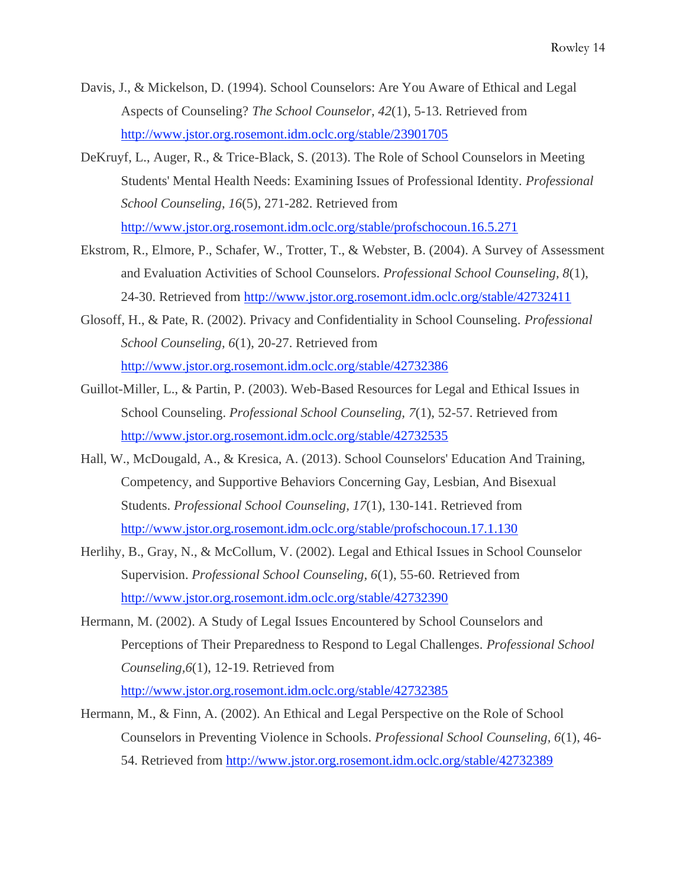- Davis, J., & Mickelson, D. (1994). School Counselors: Are You Aware of Ethical and Legal Aspects of Counseling? *The School Counselor, 42*(1), 5-13. Retrieved from <http://www.jstor.org.rosemont.idm.oclc.org/stable/23901705>
- DeKruyf, L., Auger, R., & Trice-Black, S. (2013). The Role of School Counselors in Meeting Students' Mental Health Needs: Examining Issues of Professional Identity. *Professional School Counseling, 16*(5), 271-282. Retrieved from <http://www.jstor.org.rosemont.idm.oclc.org/stable/profschocoun.16.5.271>
- Ekstrom, R., Elmore, P., Schafer, W., Trotter, T., & Webster, B. (2004). A Survey of Assessment and Evaluation Activities of School Counselors. *Professional School Counseling, 8*(1), 24-30. Retrieved from<http://www.jstor.org.rosemont.idm.oclc.org/stable/42732411>
- Glosoff, H., & Pate, R. (2002). Privacy and Confidentiality in School Counseling. *Professional School Counseling, 6*(1), 20-27. Retrieved from <http://www.jstor.org.rosemont.idm.oclc.org/stable/42732386>
- Guillot-Miller, L., & Partin, P. (2003). Web-Based Resources for Legal and Ethical Issues in School Counseling. *Professional School Counseling, 7*(1), 52-57. Retrieved from <http://www.jstor.org.rosemont.idm.oclc.org/stable/42732535>
- Hall, W., McDougald, A., & Kresica, A. (2013). School Counselors' Education And Training, Competency, and Supportive Behaviors Concerning Gay, Lesbian, And Bisexual Students. *Professional School Counseling, 17*(1), 130-141. Retrieved from <http://www.jstor.org.rosemont.idm.oclc.org/stable/profschocoun.17.1.130>
- Herlihy, B., Gray, N., & McCollum, V. (2002). Legal and Ethical Issues in School Counselor Supervision. *Professional School Counseling, 6*(1), 55-60. Retrieved from <http://www.jstor.org.rosemont.idm.oclc.org/stable/42732390>
- Hermann, M. (2002). A Study of Legal Issues Encountered by School Counselors and Perceptions of Their Preparedness to Respond to Legal Challenges. *Professional School Counseling,6*(1), 12-19. Retrieved from

<http://www.jstor.org.rosemont.idm.oclc.org/stable/42732385>

Hermann, M., & Finn, A. (2002). An Ethical and Legal Perspective on the Role of School Counselors in Preventing Violence in Schools. *Professional School Counseling, 6*(1), 46- 54. Retrieved from <http://www.jstor.org.rosemont.idm.oclc.org/stable/42732389>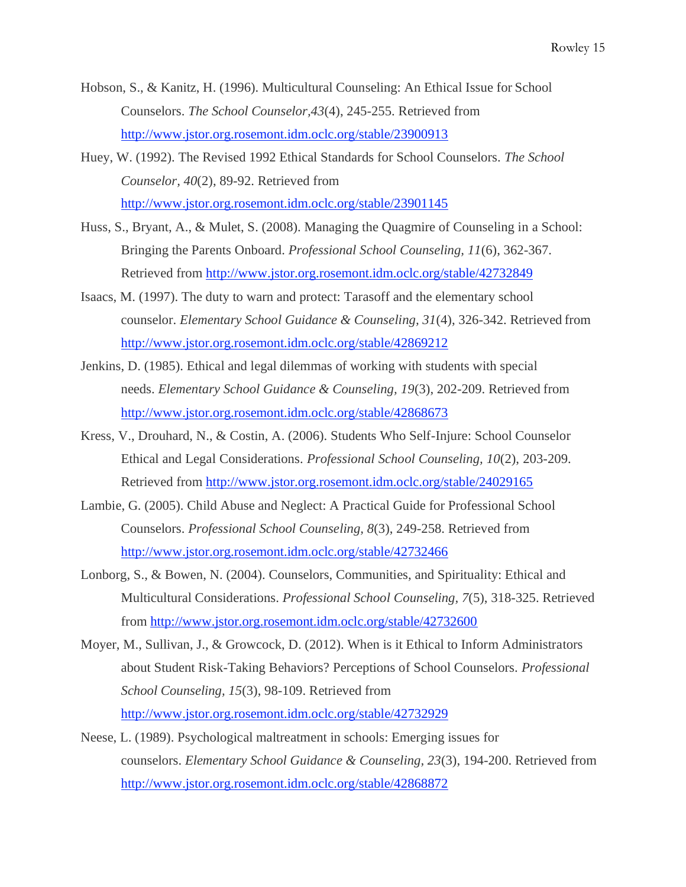- Hobson, S., & Kanitz, H. (1996). Multicultural Counseling: An Ethical Issue for School Counselors. *The School Counselor,43*(4), 245-255. Retrieved from <http://www.jstor.org.rosemont.idm.oclc.org/stable/23900913>
- Huey, W. (1992). The Revised 1992 Ethical Standards for School Counselors. *The School Counselor, 40*(2), 89-92. Retrieved from <http://www.jstor.org.rosemont.idm.oclc.org/stable/23901145>
- Huss, S., Bryant, A., & Mulet, S. (2008). Managing the Quagmire of Counseling in a School: Bringing the Parents Onboard. *Professional School Counseling, 11*(6), 362-367. Retrieved from<http://www.jstor.org.rosemont.idm.oclc.org/stable/42732849>
- Isaacs, M. (1997). The duty to warn and protect: Tarasoff and the elementary school counselor. *Elementary School Guidance & Counseling, 31*(4), 326-342. Retrieved from <http://www.jstor.org.rosemont.idm.oclc.org/stable/42869212>
- Jenkins, D. (1985). Ethical and legal dilemmas of working with students with special needs. *Elementary School Guidance & Counseling, 19*(3), 202-209. Retrieved from <http://www.jstor.org.rosemont.idm.oclc.org/stable/42868673>
- Kress, V., Drouhard, N., & Costin, A. (2006). Students Who Self-Injure: School Counselor Ethical and Legal Considerations. *Professional School Counseling, 10*(2), 203-209. Retrieved from<http://www.jstor.org.rosemont.idm.oclc.org/stable/24029165>
- Lambie, G. (2005). Child Abuse and Neglect: A Practical Guide for Professional School Counselors. *Professional School Counseling, 8*(3), 249-258. Retrieved from <http://www.jstor.org.rosemont.idm.oclc.org/stable/42732466>
- Lonborg, S., & Bowen, N. (2004). Counselors, Communities, and Spirituality: Ethical and Multicultural Considerations. *Professional School Counseling, 7*(5), 318-325. Retrieved from<http://www.jstor.org.rosemont.idm.oclc.org/stable/42732600>
- Moyer, M., Sullivan, J., & Growcock, D. (2012). When is it Ethical to Inform Administrators about Student Risk-Taking Behaviors? Perceptions of School Counselors. *Professional School Counseling, 15*(3), 98-109. Retrieved from <http://www.jstor.org.rosemont.idm.oclc.org/stable/42732929>
- Neese, L. (1989). Psychological maltreatment in schools: Emerging issues for counselors. *Elementary School Guidance & Counseling, 23*(3), 194-200. Retrieved from <http://www.jstor.org.rosemont.idm.oclc.org/stable/42868872>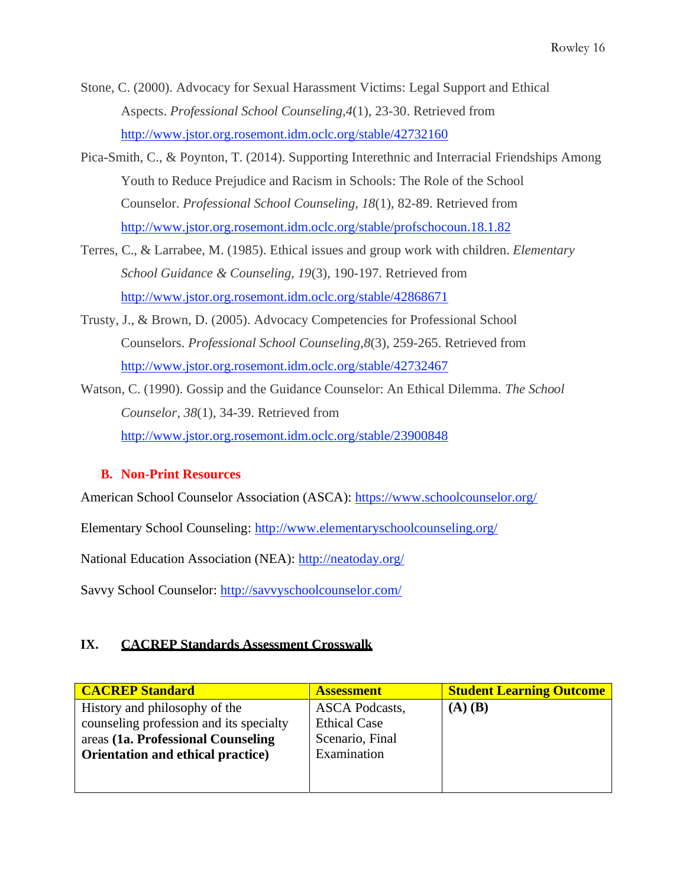- Stone, C. (2000). Advocacy for Sexual Harassment Victims: Legal Support and Ethical Aspects. *Professional School Counseling,4*(1), 23-30. Retrieved from <http://www.jstor.org.rosemont.idm.oclc.org/stable/42732160>
- Pica-Smith, C., & Poynton, T. (2014). Supporting Interethnic and Interracial Friendships Among Youth to Reduce Prejudice and Racism in Schools: The Role of the School Counselor. *Professional School Counseling, 18*(1), 82-89. Retrieved from <http://www.jstor.org.rosemont.idm.oclc.org/stable/profschocoun.18.1.82>
- Terres, C., & Larrabee, M. (1985). Ethical issues and group work with children. *Elementary School Guidance & Counseling, 19*(3), 190-197. Retrieved from <http://www.jstor.org.rosemont.idm.oclc.org/stable/42868671>
- Trusty, J., & Brown, D. (2005). Advocacy Competencies for Professional School Counselors. *Professional School Counseling,8*(3), 259-265. Retrieved from <http://www.jstor.org.rosemont.idm.oclc.org/stable/42732467>
- Watson, C. (1990). Gossip and the Guidance Counselor: An Ethical Dilemma. *The School Counselor, 38*(1), 34-39. Retrieved from <http://www.jstor.org.rosemont.idm.oclc.org/stable/23900848>

## **B. Non-Print Resources**

American School Counselor Association (ASCA):<https://www.schoolcounselor.org/>

Elementary School Counseling:<http://www.elementaryschoolcounseling.org/>

National Education Association (NEA):<http://neatoday.org/>

Savvy School Counselor:<http://savvyschoolcounselor.com/>

## **IX. CACREP Standards Assessment Crosswalk**

| <b>CACREP Standard</b>                  | <b>Assessment</b>     | <b>Student Learning Outcome</b> |
|-----------------------------------------|-----------------------|---------------------------------|
| History and philosophy of the           | <b>ASCA Podcasts,</b> | $(A)$ $(B)$                     |
| counseling profession and its specialty | <b>Ethical Case</b>   |                                 |
| areas (1a. Professional Counseling      | Scenario, Final       |                                 |
| Orientation and ethical practice)       | Examination           |                                 |
|                                         |                       |                                 |
|                                         |                       |                                 |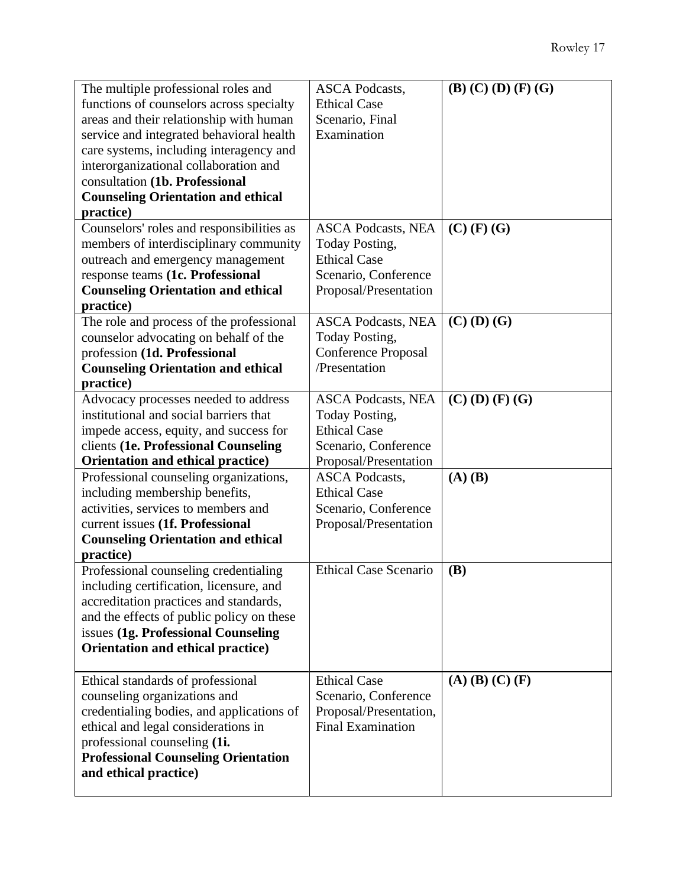| The multiple professional roles and        | <b>ASCA Podcasts,</b>        | $(B)$ (C) (D) (F) (G)   |
|--------------------------------------------|------------------------------|-------------------------|
| functions of counselors across specialty   | <b>Ethical Case</b>          |                         |
| areas and their relationship with human    | Scenario, Final              |                         |
| service and integrated behavioral health   | Examination                  |                         |
| care systems, including interagency and    |                              |                         |
| interorganizational collaboration and      |                              |                         |
| consultation (1b. Professional             |                              |                         |
| <b>Counseling Orientation and ethical</b>  |                              |                         |
| practice)                                  |                              |                         |
| Counselors' roles and responsibilities as  | <b>ASCA Podcasts, NEA</b>    | $(C)$ (F) (G)           |
| members of interdisciplinary community     | Today Posting,               |                         |
| outreach and emergency management          | <b>Ethical Case</b>          |                         |
| response teams (1c. Professional           | Scenario, Conference         |                         |
| <b>Counseling Orientation and ethical</b>  | Proposal/Presentation        |                         |
| practice)                                  |                              |                         |
| The role and process of the professional   | <b>ASCA Podcasts, NEA</b>    | $(C)$ (D) $(G)$         |
| counselor advocating on behalf of the      | Today Posting,               |                         |
| profession (1d. Professional               | <b>Conference Proposal</b>   |                         |
| <b>Counseling Orientation and ethical</b>  | /Presentation                |                         |
| practice)                                  |                              |                         |
| Advocacy processes needed to address       | <b>ASCA Podcasts, NEA</b>    | $(C)$ (D) (F) (G)       |
| institutional and social barriers that     | Today Posting,               |                         |
| impede access, equity, and success for     | <b>Ethical Case</b>          |                         |
| clients (1e. Professional Counseling       | Scenario, Conference         |                         |
| Orientation and ethical practice)          | Proposal/Presentation        |                         |
| Professional counseling organizations,     | <b>ASCA Podcasts,</b>        | $(A)$ $(B)$             |
| including membership benefits,             | <b>Ethical Case</b>          |                         |
| activities, services to members and        | Scenario, Conference         |                         |
| current issues (1f. Professional           | Proposal/Presentation        |                         |
| <b>Counseling Orientation and ethical</b>  |                              |                         |
| practice)                                  |                              |                         |
| Professional counseling credentialing      | <b>Ethical Case Scenario</b> | <b>(B)</b>              |
| including certification, licensure, and    |                              |                         |
| accreditation practices and standards,     |                              |                         |
| and the effects of public policy on these  |                              |                         |
| issues (1g. Professional Counseling        |                              |                         |
| Orientation and ethical practice)          |                              |                         |
|                                            |                              |                         |
| Ethical standards of professional          | <b>Ethical Case</b>          | $(A)$ $(B)$ $(C)$ $(F)$ |
| counseling organizations and               | Scenario, Conference         |                         |
| credentialing bodies, and applications of  | Proposal/Presentation,       |                         |
| ethical and legal considerations in        | <b>Final Examination</b>     |                         |
| professional counseling (1i.               |                              |                         |
| <b>Professional Counseling Orientation</b> |                              |                         |
| and ethical practice)                      |                              |                         |
|                                            |                              |                         |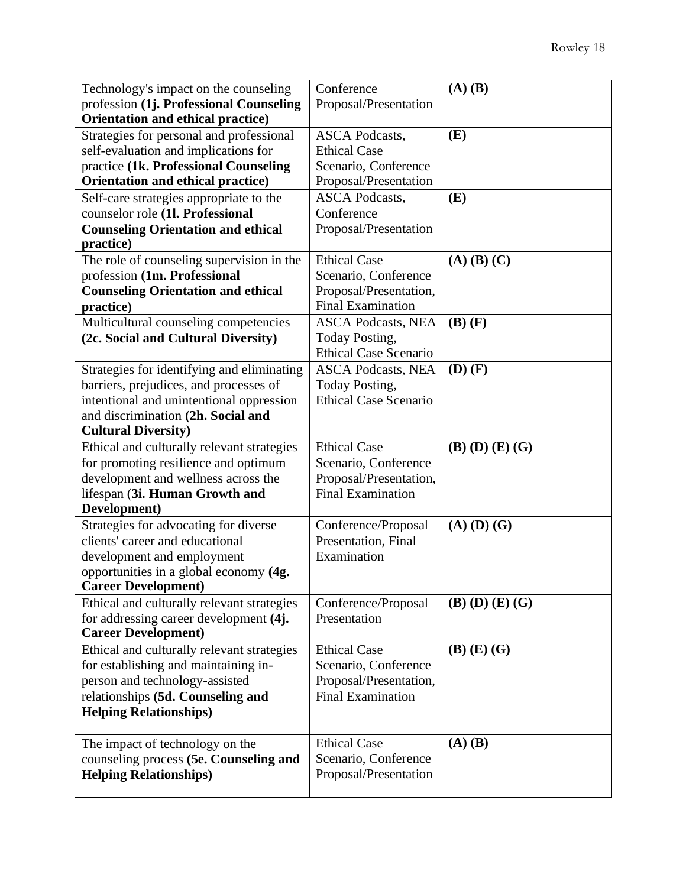| Technology's impact on the counseling      | Conference                   | $(A)$ $(B)$             |
|--------------------------------------------|------------------------------|-------------------------|
| profession (1j. Professional Counseling    | Proposal/Presentation        |                         |
| Orientation and ethical practice)          |                              |                         |
| Strategies for personal and professional   | <b>ASCA Podcasts,</b>        | (E)                     |
| self-evaluation and implications for       | <b>Ethical Case</b>          |                         |
| practice (1k. Professional Counseling      | Scenario, Conference         |                         |
| Orientation and ethical practice)          | Proposal/Presentation        |                         |
| Self-care strategies appropriate to the    | <b>ASCA Podcasts,</b>        | (E)                     |
| counselor role (1l. Professional           | Conference                   |                         |
| <b>Counseling Orientation and ethical</b>  | Proposal/Presentation        |                         |
| practice)                                  |                              |                         |
| The role of counseling supervision in the  | <b>Ethical Case</b>          | $(A)$ $(B)$ $(C)$       |
| profession (1m. Professional               | Scenario, Conference         |                         |
| <b>Counseling Orientation and ethical</b>  | Proposal/Presentation,       |                         |
| practice)                                  | <b>Final Examination</b>     |                         |
| Multicultural counseling competencies      | <b>ASCA Podcasts, NEA</b>    | $(B)$ $(F)$             |
| (2c. Social and Cultural Diversity)        | Today Posting,               |                         |
|                                            | <b>Ethical Case Scenario</b> |                         |
| Strategies for identifying and eliminating | <b>ASCA Podcasts, NEA</b>    | $(D)$ $(F)$             |
| barriers, prejudices, and processes of     | Today Posting,               |                         |
| intentional and unintentional oppression   | <b>Ethical Case Scenario</b> |                         |
| and discrimination (2h. Social and         |                              |                         |
| <b>Cultural Diversity)</b>                 |                              |                         |
| Ethical and culturally relevant strategies | <b>Ethical Case</b>          | $(B)$ $(D)$ $(E)$ $(G)$ |
| for promoting resilience and optimum       | Scenario, Conference         |                         |
| development and wellness across the        | Proposal/Presentation,       |                         |
| lifespan (3i. Human Growth and             | <b>Final Examination</b>     |                         |
| Development)                               |                              |                         |
| Strategies for advocating for diverse      | Conference/Proposal          | $(A)$ $(D)$ $(G)$       |
| clients' career and educational            |                              |                         |
|                                            | Presentation, Final          |                         |
| development and employment                 | Examination                  |                         |
| opportunities in a global economy (4g.     |                              |                         |
| <b>Career Development</b> )                |                              |                         |
| Ethical and culturally relevant strategies | Conference/Proposal          | $(B)$ $(D)$ $(E)$ $(G)$ |
| for addressing career development (4j.     | Presentation                 |                         |
| <b>Career Development)</b>                 |                              |                         |
| Ethical and culturally relevant strategies | <b>Ethical Case</b>          | $(B)$ $(E)$ $(G)$       |
| for establishing and maintaining in-       | Scenario, Conference         |                         |
| person and technology-assisted             | Proposal/Presentation,       |                         |
| relationships (5d. Counseling and          | <b>Final Examination</b>     |                         |
| <b>Helping Relationships)</b>              |                              |                         |
|                                            |                              |                         |
| The impact of technology on the            | <b>Ethical Case</b>          | $(A)$ $(B)$             |
| counseling process (5e. Counseling and     | Scenario, Conference         |                         |
| <b>Helping Relationships)</b>              | Proposal/Presentation        |                         |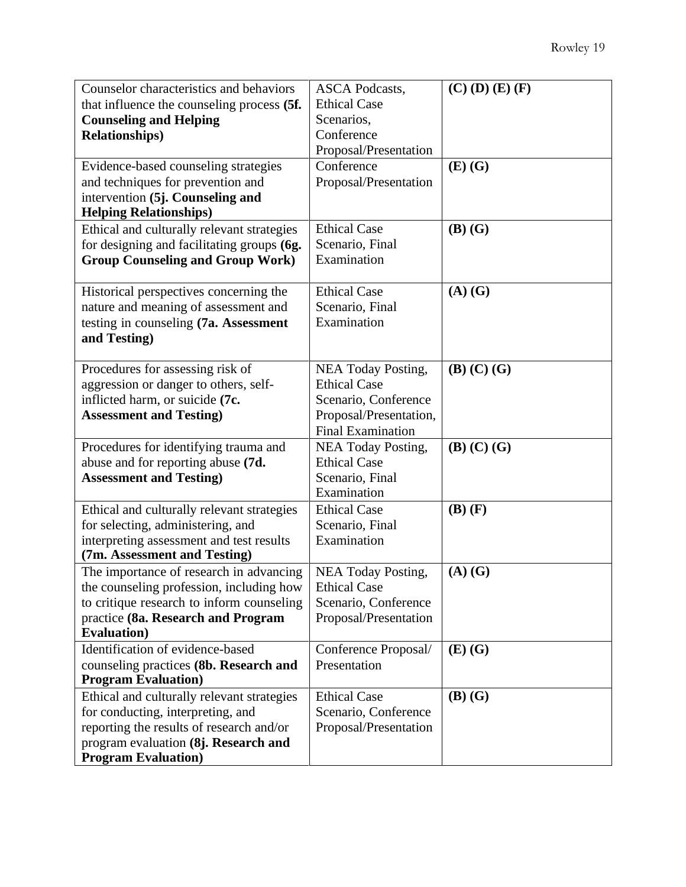| Counselor characteristics and behaviors<br>that influence the counseling process (5f.<br><b>Counseling and Helping</b><br><b>Relationships</b> )<br>Evidence-based counseling strategies<br>and techniques for prevention and<br>intervention (5j. Counseling and<br><b>Helping Relationships)</b><br>Ethical and culturally relevant strategies | <b>ASCA Podcasts,</b><br><b>Ethical Case</b><br>Scenarios,<br>Conference<br>Proposal/Presentation<br>Conference<br>Proposal/Presentation<br><b>Ethical Case</b> | $(C)$ (D) $(E)$ (F)<br>$(E)$ $(G)$<br>$(B)$ $(G)$ |
|--------------------------------------------------------------------------------------------------------------------------------------------------------------------------------------------------------------------------------------------------------------------------------------------------------------------------------------------------|-----------------------------------------------------------------------------------------------------------------------------------------------------------------|---------------------------------------------------|
| for designing and facilitating groups (6g.<br><b>Group Counseling and Group Work)</b>                                                                                                                                                                                                                                                            | Scenario, Final<br>Examination                                                                                                                                  |                                                   |
| Historical perspectives concerning the<br>nature and meaning of assessment and<br>testing in counseling (7a. Assessment<br>and Testing)                                                                                                                                                                                                          | <b>Ethical Case</b><br>Scenario, Final<br>Examination                                                                                                           | $(A)$ $(G)$                                       |
| Procedures for assessing risk of<br>aggression or danger to others, self-<br>inflicted harm, or suicide (7c.<br><b>Assessment and Testing)</b>                                                                                                                                                                                                   | NEA Today Posting,<br><b>Ethical Case</b><br>Scenario, Conference<br>Proposal/Presentation,<br><b>Final Examination</b>                                         | $(B)$ $(C)$ $(G)$                                 |
| Procedures for identifying trauma and<br>abuse and for reporting abuse (7d.<br><b>Assessment and Testing)</b>                                                                                                                                                                                                                                    | NEA Today Posting,<br><b>Ethical Case</b><br>Scenario, Final<br>Examination                                                                                     | $(B)$ $(C)$ $(G)$                                 |
| Ethical and culturally relevant strategies<br>for selecting, administering, and<br>interpreting assessment and test results<br>(7m. Assessment and Testing)                                                                                                                                                                                      | <b>Ethical Case</b><br>Scenario, Final<br>Examination                                                                                                           | $(B)$ $(F)$                                       |
| The importance of research in advancing<br>the counseling profession, including how<br>to critique research to inform counseling<br>practice (8a. Research and Program<br><b>Evaluation</b> )                                                                                                                                                    | NEA Today Posting,<br><b>Ethical Case</b><br>Scenario, Conference<br>Proposal/Presentation                                                                      | $(A)$ $(G)$                                       |
| Identification of evidence-based<br>counseling practices (8b. Research and<br><b>Program Evaluation</b> )                                                                                                                                                                                                                                        | Conference Proposal/<br>Presentation                                                                                                                            | $(E)$ $(G)$                                       |
| Ethical and culturally relevant strategies<br>for conducting, interpreting, and<br>reporting the results of research and/or<br>program evaluation (8j. Research and<br><b>Program Evaluation</b> )                                                                                                                                               | <b>Ethical Case</b><br>Scenario, Conference<br>Proposal/Presentation                                                                                            | $(B)$ $(G)$                                       |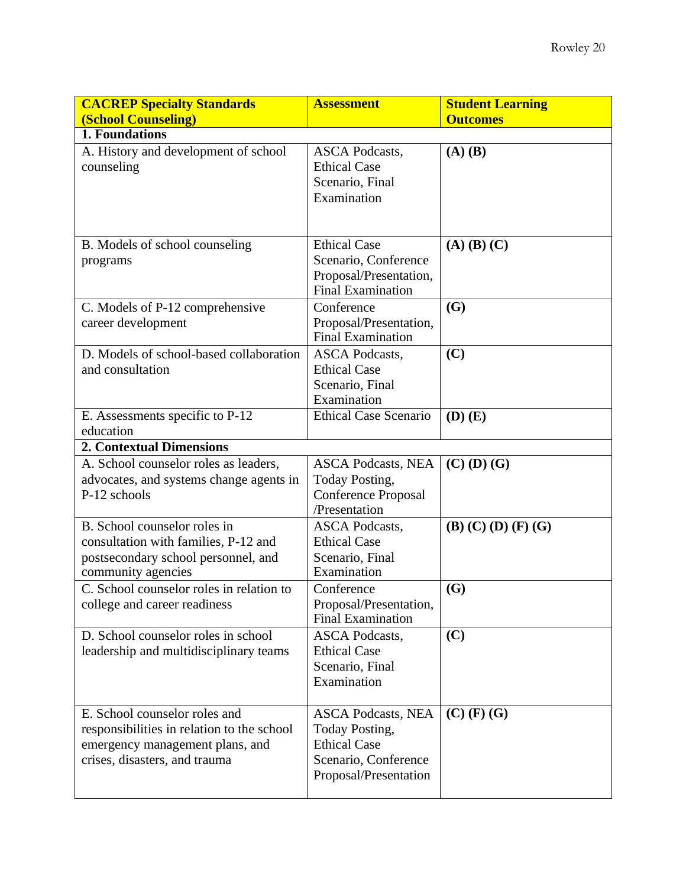| <b>CACREP Specialty Standards</b>                                                                                                               | <b>Assessment</b>                                                                                                   | <b>Student Learning</b> |
|-------------------------------------------------------------------------------------------------------------------------------------------------|---------------------------------------------------------------------------------------------------------------------|-------------------------|
| <b>(School Counseling)</b><br>1. Foundations                                                                                                    |                                                                                                                     | <b>Outcomes</b>         |
| A. History and development of school<br>counseling                                                                                              | <b>ASCA Podcasts,</b><br><b>Ethical Case</b><br>Scenario, Final<br>Examination                                      | $(A)$ $(B)$             |
| B. Models of school counseling<br>programs                                                                                                      | <b>Ethical Case</b><br>Scenario, Conference<br>Proposal/Presentation,<br><b>Final Examination</b>                   | $(A)$ $(B)$ $(C)$       |
| C. Models of P-12 comprehensive<br>career development                                                                                           | Conference<br>Proposal/Presentation,<br><b>Final Examination</b>                                                    | (G)                     |
| D. Models of school-based collaboration<br>and consultation                                                                                     | <b>ASCA Podcasts,</b><br><b>Ethical Case</b><br>Scenario, Final<br>Examination                                      | (C)                     |
| E. Assessments specific to P-12<br>education<br><b>2. Contextual Dimensions</b>                                                                 | <b>Ethical Case Scenario</b>                                                                                        | $(D)$ $(E)$             |
| A. School counselor roles as leaders,<br>advocates, and systems change agents in<br>P-12 schools                                                | <b>ASCA Podcasts, NEA</b><br>Today Posting,<br><b>Conference Proposal</b><br>/Presentation                          | $(C)$ (D) $(G)$         |
| B. School counselor roles in<br>consultation with families, P-12 and<br>postsecondary school personnel, and<br>community agencies               | <b>ASCA Podcasts,</b><br><b>Ethical Case</b><br>Scenario, Final<br>Examination                                      | $(B)$ (C) (D) (F) (G)   |
| C. School counselor roles in relation to<br>college and career readiness                                                                        | Conference<br>Proposal/Presentation,<br><b>Final Examination</b>                                                    | (G)                     |
| D. School counselor roles in school<br>leadership and multidisciplinary teams                                                                   | <b>ASCA Podcasts,</b><br><b>Ethical Case</b><br>Scenario, Final<br>Examination                                      | (C)                     |
| E. School counselor roles and<br>responsibilities in relation to the school<br>emergency management plans, and<br>crises, disasters, and trauma | <b>ASCA Podcasts, NEA</b><br>Today Posting,<br><b>Ethical Case</b><br>Scenario, Conference<br>Proposal/Presentation | $(C)$ (F) (G)           |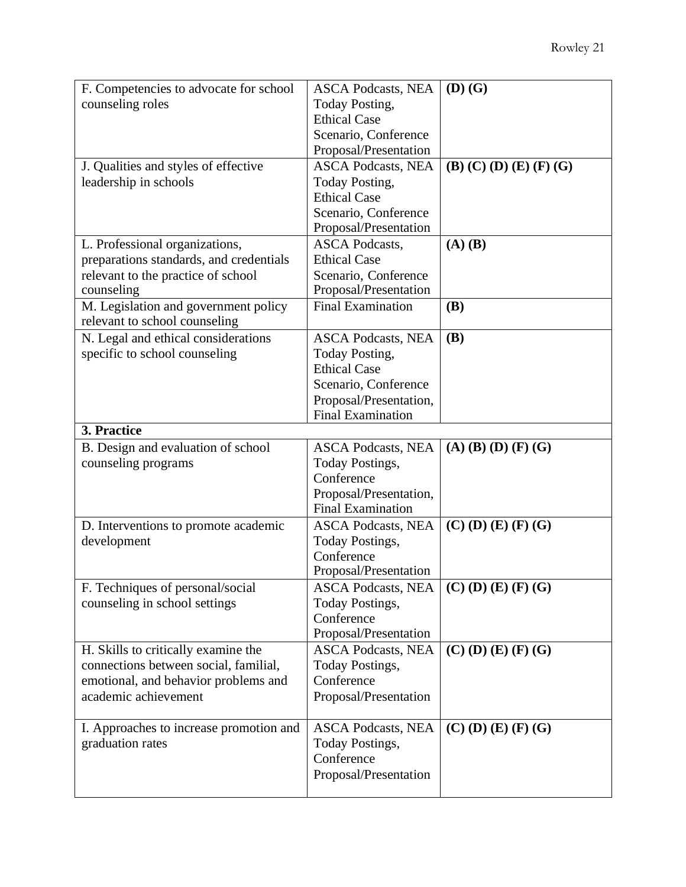| F. Competencies to advocate for school                                | <b>ASCA Podcasts, NEA</b> | $(D)$ $(G)$                         |
|-----------------------------------------------------------------------|---------------------------|-------------------------------------|
| counseling roles                                                      | <b>Today Posting,</b>     |                                     |
|                                                                       | <b>Ethical Case</b>       |                                     |
|                                                                       | Scenario, Conference      |                                     |
|                                                                       | Proposal/Presentation     |                                     |
| J. Qualities and styles of effective                                  | <b>ASCA Podcasts, NEA</b> | $(B)$ $(C)$ $(D)$ $(E)$ $(F)$ $(G)$ |
| leadership in schools                                                 | Today Posting,            |                                     |
|                                                                       | <b>Ethical Case</b>       |                                     |
|                                                                       | Scenario, Conference      |                                     |
|                                                                       | Proposal/Presentation     |                                     |
| L. Professional organizations,                                        | <b>ASCA Podcasts,</b>     | $(A)$ $(B)$                         |
| preparations standards, and credentials                               | <b>Ethical Case</b>       |                                     |
| relevant to the practice of school                                    | Scenario, Conference      |                                     |
| counseling                                                            | Proposal/Presentation     |                                     |
| M. Legislation and government policy<br>relevant to school counseling | <b>Final Examination</b>  | <b>(B)</b>                          |
| N. Legal and ethical considerations                                   | <b>ASCA Podcasts, NEA</b> | <b>(B)</b>                          |
| specific to school counseling                                         | <b>Today Posting,</b>     |                                     |
|                                                                       | <b>Ethical Case</b>       |                                     |
|                                                                       | Scenario, Conference      |                                     |
|                                                                       | Proposal/Presentation,    |                                     |
|                                                                       | <b>Final Examination</b>  |                                     |
| 3. Practice                                                           |                           |                                     |
|                                                                       |                           |                                     |
| B. Design and evaluation of school                                    | <b>ASCA Podcasts, NEA</b> | $(A)$ (B) (D) (F) (G)               |
| counseling programs                                                   | <b>Today Postings,</b>    |                                     |
|                                                                       | Conference                |                                     |
|                                                                       | Proposal/Presentation,    |                                     |
|                                                                       | <b>Final Examination</b>  |                                     |
| D. Interventions to promote academic                                  | <b>ASCA Podcasts, NEA</b> | $(C)$ (D) (E) (F) (G)               |
| development                                                           | <b>Today Postings,</b>    |                                     |
|                                                                       | Conference                |                                     |
|                                                                       | Proposal/Presentation     |                                     |
| F. Techniques of personal/social                                      | <b>ASCA Podcasts, NEA</b> | $(C)$ (D) (E) (F) (G)               |
| counseling in school settings                                         | Today Postings,           |                                     |
|                                                                       | Conference                |                                     |
|                                                                       | Proposal/Presentation     |                                     |
| H. Skills to critically examine the                                   | <b>ASCA Podcasts, NEA</b> | $(C)$ (D) (E) (F) (G)               |
| connections between social, familial,                                 | <b>Today Postings,</b>    |                                     |
| emotional, and behavior problems and                                  | Conference                |                                     |
| academic achievement                                                  | Proposal/Presentation     |                                     |
|                                                                       |                           |                                     |
| I. Approaches to increase promotion and                               | <b>ASCA Podcasts, NEA</b> | $(C)$ (D) (E) (F) (G)               |
| graduation rates                                                      | Today Postings,           |                                     |
|                                                                       | Conference                |                                     |
|                                                                       | Proposal/Presentation     |                                     |